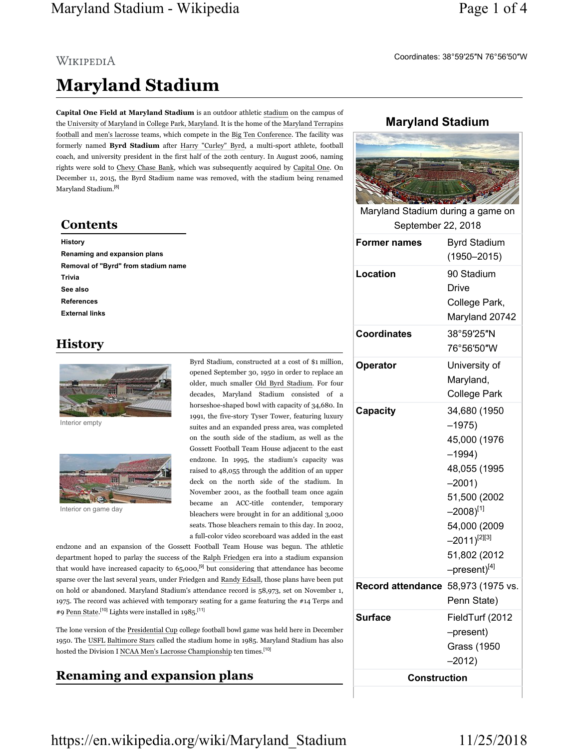## Maryland Stadium - Wikipedia Page 1 of 4

# WIKIPEDIA Maryland Stadium

Capital One Field at Maryland Stadium is an outdoor athletic stadium on the campus of the University of Maryland in College Park, Maryland. It is the home of the Maryland Terrapins football and men's lacrosse teams, which compete in the Big Ten Conference. The facility was formerly named Byrd Stadium after Harry "Curley" Byrd, a multi-sport athlete, football coach, and university president in the first half of the 20th century. In August 2006, naming rights were sold to Chevy Chase Bank, which was subsequently acquired by Capital One. On December 11, 2015, the Byrd Stadium name was removed, with the stadium being renamed Maryland Stadium.<sup>[8]</sup>

#### **Contents**

#### History

Renaming and expansion plans Removal of "Byrd" from stadium name Trivia See also References External links

#### History



Interior empty



Interior on game day

Byrd Stadium, constructed at a cost of \$1 million, opened September 30, 1950 in order to replace an older, much smaller Old Byrd Stadium. For four decades, Maryland Stadium consisted of a horseshoe-shaped bowl with capacity of 34,680. In 1991, the five-story Tyser Tower, featuring luxury suites and an expanded press area, was completed on the south side of the stadium, as well as the Gossett Football Team House adjacent to the east endzone. In 1995, the stadium's capacity was raised to 48,055 through the addition of an upper deck on the north side of the stadium. In November 2001, as the football team once again became an ACC-title contender, temporary bleachers were brought in for an additional 3,000 seats. Those bleachers remain to this day. In 2002, a full-color video scoreboard was added in the east

endzone and an expansion of the Gossett Football Team House was begun. The athletic department hoped to parlay the success of the Ralph Friedgen era into a stadium expansion that would have increased capacity to  $65,000$ ,<sup>[9]</sup> but considering that attendance has become sparse over the last several years, under Friedgen and Randy Edsall, those plans have been put on hold or abandoned. Maryland Stadium's attendance record is 58,973, set on November 1, 1975. The record was achieved with temporary seating for a game featuring the #14 Terps and #9 Penn State.<sup>[10]</sup> Lights were installed in  $1985$ <sup>[11]</sup>

The lone version of the Presidential Cup college football bowl game was held here in December 1950. The USFL Baltimore Stars called the stadium home in 1985. Maryland Stadium has also hosted the Division I NCAA Men's Lacrosse Championship ten times.<sup>[10]</sup>

### Renaming and expansion plans

#### Maryland Stadium

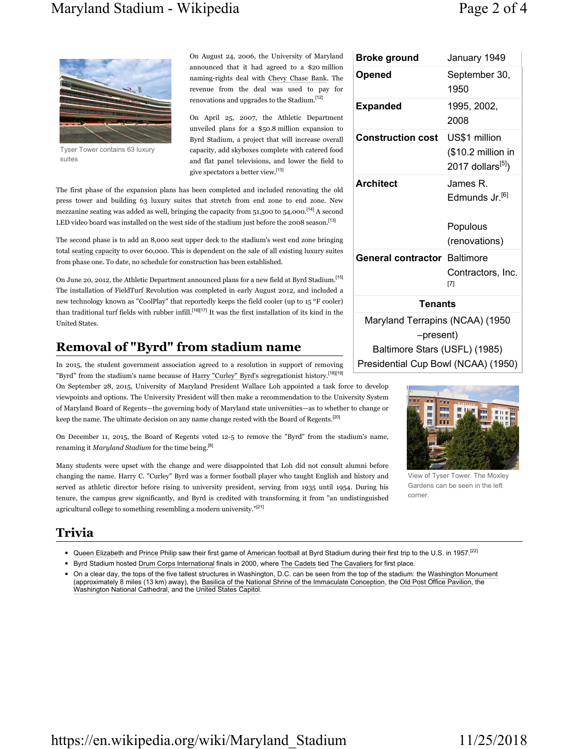### Maryland Stadium - Wikipedia Page 2 of 4



Tyser Tower contains 63 luxury suites

On August 24, 2006, the University of Maryland announced that it had agreed to a \$20 million naming-rights deal with Chevy Chase Bank. The revenue from the deal was used to pay for renovations and upgrades to the Stadium.[12]

On April 25, 2007, the Athletic Department unveiled plans for a \$50.8 million expansion to Byrd Stadium, a project that will increase overall capacity, add skyboxes complete with catered food and flat panel televisions, and lower the field to give spectators a better view.[13]

The first phase of the expansion plans has been completed and included renovating the old press tower and building 63 luxury suites that stretch from end zone to end zone. New mezzanine seating was added as well, bringing the capacity from 51,500 to 54,000.<sup>[14]</sup> A second LED video board was installed on the west side of the stadium just before the 2008 season.<sup>[13]</sup>

The second phase is to add an 8,000 seat upper deck to the stadium's west end zone bringing total seating capacity to over 60,000. This is dependent on the sale of all existing luxury suites from phase one. To date, no schedule for construction has been established.

On June 20, 2012, the Athletic Department announced plans for a new field at Byrd Stadium.[15] The installation of FieldTurf Revolution was completed in early August 2012, and included a new technology known as "CoolPlay" that reportedly keeps the field cooler (up to 15 °F cooler) than traditional turf fields with rubber infill.<sup>[16][17]</sup> It was the first installation of its kind in the United States.

### Removal of "Byrd" from stadium name

In 2015, the student government association agreed to a resolution in support of removing "Byrd" from the stadium's name because of Harry "Curley" Byrd's segregationist history.<sup>[18][19]</sup>

On September 28, 2015, University of Maryland President Wallace Loh appointed a task force to develop viewpoints and options. The University President will then make a recommendation to the University System of Maryland Board of Regents—the governing body of Maryland state universities—as to whether to change or keep the name. The ultimate decision on any name change rested with the Board of Regents.<sup>[20]</sup>

On December 11, 2015, the Board of Regents voted 12-5 to remove the "Byrd" from the stadium's name, renaming it Maryland Stadium for the time being.<sup>[8]</sup>

Many students were upset with the change and were disappointed that Loh did not consult alumni before changing the name. Harry C. "Curley" Byrd was a former football player who taught English and history and served as athletic director before rising to university president, serving from 1935 until 1954. During his tenure, the campus grew significantly, and Byrd is credited with transforming it from "an undistinguished agricultural college to something resembling a modern university."[21]

#### Trivia

- Queen Elizabeth and Prince Philip saw their first game of American football at Byrd Stadium during their first trip to the U.S. in 1957.<sup>[22]</sup>
- Byrd Stadium hosted Drum Corps International finals in 2000, where The Cadets tied The Cavaliers for first place.
- ◾ On a clear day, the tops of the five tallest structures in Washington, D.C. can be seen from the top of the stadium: the Washington Monument (approximately 8 miles (13 km) away), the Basilica of the National Shrine of the Immaculate Conception, the Old Post Office Pavilion, the Washington National Cathedral, and the United States Capitol.

| <b>Broke ground</b>                          | January 1949                                                         |  |  |
|----------------------------------------------|----------------------------------------------------------------------|--|--|
| Opened                                       | September 30,<br>1950                                                |  |  |
| <b>Expanded</b>                              | 1995, 2002,<br>2008                                                  |  |  |
| <b>Construction cost</b>                     | US\$1 million<br>(\$10.2 million in<br>2017 dollars <sup>[5]</sup> ) |  |  |
| <b>Architect</b>                             | James R.<br>Edmunds Jr. <sup>[6]</sup>                               |  |  |
|                                              | Populous                                                             |  |  |
|                                              | (renovations)                                                        |  |  |
| <b>General contractor Baltimore</b>          | Contractors, Inc.<br>[7]                                             |  |  |
| <b>Tenants</b>                               |                                                                      |  |  |
| Maryland Terrapins (NCAA) (1950<br>-present) |                                                                      |  |  |
| Baltimore Stars (USFL) (1985)                |                                                                      |  |  |

Presidential Cup Bowl (NCAA) (1950)

View of Tyser Tower. The Moxley Gardens can be seen in the left corner.

https://en.wikipedia.org/wiki/Maryland\_Stadium 11/25/2018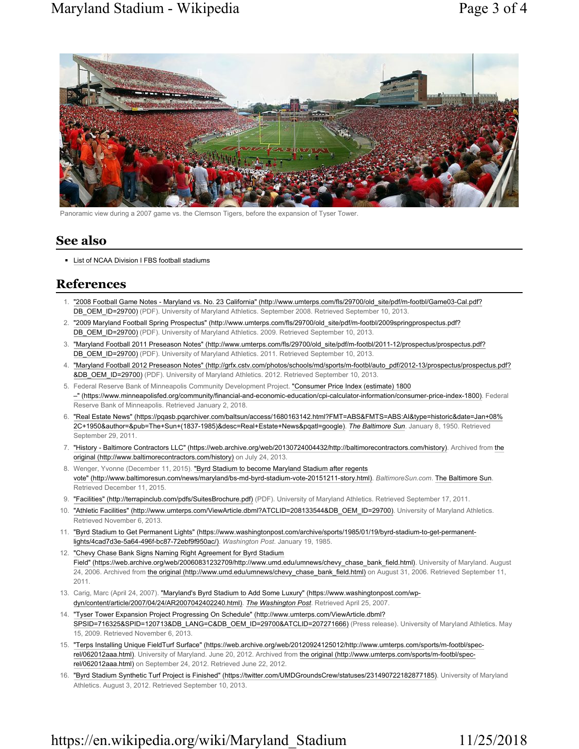

Panoramic view during a 2007 game vs. the Clemson Tigers, before the expansion of Tyser Tower.

#### See also

■ List of NCAA Division I FBS football stadiums

### References

- 1. "2008 Football Game Notes Maryland vs. No. 23 California" (http://www.umterps.com/fls/29700/old\_site/pdf/m-footbl/Game03-Cal.pdf? DB\_OEM\_ID=29700) (PDF). University of Maryland Athletics. September 2008. Retrieved September 10, 2013.
- 2. "2009 Maryland Football Spring Prospectus" (http://www.umterps.com/fls/29700/old\_site/pdf/m-footbl/2009springprospectus.pdf? DB\_OEM\_ID=29700) (PDF). University of Maryland Athletics. 2009. Retrieved September 10, 2013.
- 3. "Maryland Football 2011 Preseason Notes" (http://www.umterps.com/fls/29700/old\_site/pdf/m-footbl/2011-12/prospectus/prospectus.pdf? DB\_OEM\_ID=29700) (PDF). University of Maryland Athletics. 2011. Retrieved September 10, 2013.
- 4. "Maryland Football 2012 Preseason Notes" (http://grfx.cstv.com/photos/schools/md/sports/m-footbl/auto\_pdf/2012-13/prospectus/prospectus.pdf? &DB\_OEM\_ID=29700) (PDF). University of Maryland Athletics. 2012. Retrieved September 10, 2013.
- 5. Federal Reserve Bank of Minneapolis Community Development Project. "Consumer Price Index (estimate) 1800 –" (https://www.minneapolisfed.org/community/financial-and-economic-education/cpi-calculator-information/consumer-price-index-1800). Federal Reserve Bank of Minneapolis. Retrieved January 2, 2018.
- 6. "Real Estate News" (https://pqasb.pqarchiver.com/baltsun/access/1680163142.html?FMT=ABS&FMTS=ABS:AI&type=historic&date=Jan+08% 2C+1950&author=&pub=The+Sun+(1837-1985)&desc=Real+Estate+News&pqatl=google). The Baltimore Sun. January 8, 1950. Retrieved September 29, 2011.
- 7. "History Baltimore Contractors LLC" (https://web.archive.org/web/20130724004432/http://baltimorecontractors.com/history). Archived from the original (http://www.baltimorecontractors.com/history) on July 24, 2013.
- 8. Wenger, Yvonne (December 11, 2015). "Byrd Stadium to become Maryland Stadium after regents vote" (http://www.baltimoresun.com/news/maryland/bs-md-byrd-stadium-vote-20151211-story.html). BaltimoreSun.com. The Baltimore Sun. Retrieved December 11, 2015.
- 9. "Facilities" (http://terrapinclub.com/pdfs/SuitesBrochure.pdf) (PDF). University of Maryland Athletics. Retrieved September 17, 2011.
- 10. "Athletic Facilities" (http://www.umterps.com/ViewArticle.dbml?ATCLID=208133544&DB\_OEM\_ID=29700). University of Maryland Athletics. Retrieved November 6, 2013.
- 11. "Byrd Stadium to Get Permanent Lights" (https://www.washingtonpost.com/archive/sports/1985/01/19/byrd-stadium-to-get-permanentlights/4cad7d3e-5a64-496f-bc87-72ebf9f950ac/). Washington Post. January 19, 1985.
- 12. "Chevy Chase Bank Signs Naming Right Agreement for Byrd Stadium Field" (https://web.archive.org/web/20060831232709/http://www.umd.edu/umnews/chevy\_chase\_bank\_field.html). University of Maryland. August 24, 2006. Archived from the original (http://www.umd.edu/umnews/chevy\_chase\_bank\_field.html) on August 31, 2006. Retrieved September 11, 2011.
- 13. Carig, Marc (April 24, 2007). "Maryland's Byrd Stadium to Add Some Luxury" (https://www.washingtonpost.com/wpdyn/content/article/2007/04/24/AR2007042402240.html). The Washington Post. Retrieved April 25, 2007.
- 14. "Tyser Tower Expansion Project Progressing On Schedule" (http://www.umterps.com/ViewArticle.dbml? SPSID=716325&SPID=120713&DB\_LANG=C&DB\_OEM\_ID=29700&ATCLID=207271666) (Press release). University of Maryland Athletics. May 15, 2009. Retrieved November 6, 2013.
- 15. "Terps Installing Unique FieldTurf Surface" (https://web.archive.org/web/20120924125012/http://www.umterps.com/sports/m-footbl/specrel/062012aaa.html). University of Maryland. June 20, 2012. Archived from the original (http://www.umterps.com/sports/m-footbl/specrel/062012aaa.html) on September 24, 2012. Retrieved June 22, 2012.
- 16. "Byrd Stadium Synthetic Turf Project is Finished" (https://twitter.com/UMDGroundsCrew/statuses/231490722182877185). University of Maryland Athletics. August 3, 2012. Retrieved September 10, 2013.

# https://en.wikipedia.org/wiki/Maryland\_Stadium 11/25/2018